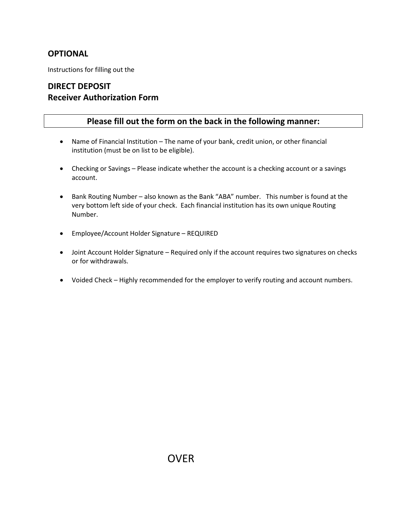#### **OPTIONAL**

Instructions for filling out the

### **DIRECT DEPOSIT Receiver Authorization Form**

#### **Please fill out the form on the back in the following manner:**

- Name of Financial Institution The name of your bank, credit union, or other financial institution (must be on list to be eligible).
- Checking or Savings Please indicate whether the account is a checking account or a savings account.
- Bank Routing Number also known as the Bank "ABA" number. This number is found at the very bottom left side of your check. Each financial institution has its own unique Routing Number.
- Employee/Account Holder Signature REQUIRED
- Joint Account Holder Signature Required only if the account requires two signatures on checks or for withdrawals.
- Voided Check Highly recommended for the employer to verify routing and account numbers.